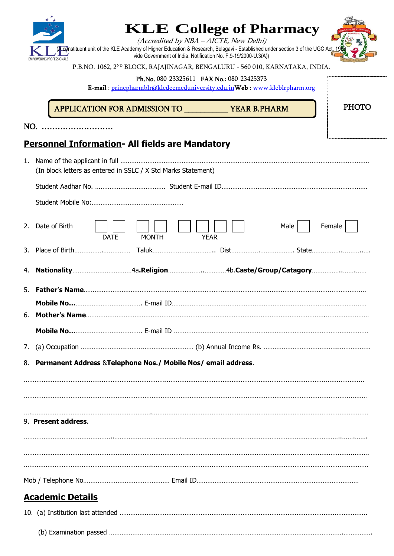| <b>KLE College of Pharmacy</b><br>(Accredited by NBA - AICTE, New Delhi)<br>constituent unit of the KLE Academy of Higher Education & Research, Belagavi - Established under section 3 of the UGC Act<br>vide Government of India. Notification No. F.9-19/2000-U.3(A))<br>NG PROFESSIONALS<br>P.B.NO. 1062, 2 <sup>ND</sup> BLOCK, RAJAJINAGAR, BENGALURU - 560 010, KARNATAKA, INDIA.<br>Ph.No. 080-23325611 FAX No.: 080-23425373<br>E-mail: princpharmblr@kledeemeduniversity.edu.inWeb: www.kleblrpharm.org<br><b>PHOTO</b><br>NO.<br> |
|---------------------------------------------------------------------------------------------------------------------------------------------------------------------------------------------------------------------------------------------------------------------------------------------------------------------------------------------------------------------------------------------------------------------------------------------------------------------------------------------------------------------------------------------|
|                                                                                                                                                                                                                                                                                                                                                                                                                                                                                                                                             |
|                                                                                                                                                                                                                                                                                                                                                                                                                                                                                                                                             |
|                                                                                                                                                                                                                                                                                                                                                                                                                                                                                                                                             |
|                                                                                                                                                                                                                                                                                                                                                                                                                                                                                                                                             |
|                                                                                                                                                                                                                                                                                                                                                                                                                                                                                                                                             |
|                                                                                                                                                                                                                                                                                                                                                                                                                                                                                                                                             |
| <b>Personnel Information- All fields are Mandatory</b>                                                                                                                                                                                                                                                                                                                                                                                                                                                                                      |
|                                                                                                                                                                                                                                                                                                                                                                                                                                                                                                                                             |
| 1.<br>(In block letters as entered in SSLC / X Std Marks Statement)                                                                                                                                                                                                                                                                                                                                                                                                                                                                         |
|                                                                                                                                                                                                                                                                                                                                                                                                                                                                                                                                             |
|                                                                                                                                                                                                                                                                                                                                                                                                                                                                                                                                             |
|                                                                                                                                                                                                                                                                                                                                                                                                                                                                                                                                             |
| 2. Date of Birth<br>Male<br>Female<br><b>DATE</b><br><b>MONTH</b><br><b>YEAR</b>                                                                                                                                                                                                                                                                                                                                                                                                                                                            |
| 3.                                                                                                                                                                                                                                                                                                                                                                                                                                                                                                                                          |
| 4.                                                                                                                                                                                                                                                                                                                                                                                                                                                                                                                                          |
| 5.                                                                                                                                                                                                                                                                                                                                                                                                                                                                                                                                          |
|                                                                                                                                                                                                                                                                                                                                                                                                                                                                                                                                             |
|                                                                                                                                                                                                                                                                                                                                                                                                                                                                                                                                             |
|                                                                                                                                                                                                                                                                                                                                                                                                                                                                                                                                             |
|                                                                                                                                                                                                                                                                                                                                                                                                                                                                                                                                             |
| 8. Permanent Address & Telephone Nos./ Mobile Nos/ email address.                                                                                                                                                                                                                                                                                                                                                                                                                                                                           |
|                                                                                                                                                                                                                                                                                                                                                                                                                                                                                                                                             |
|                                                                                                                                                                                                                                                                                                                                                                                                                                                                                                                                             |
|                                                                                                                                                                                                                                                                                                                                                                                                                                                                                                                                             |
| 9. Present address.                                                                                                                                                                                                                                                                                                                                                                                                                                                                                                                         |
|                                                                                                                                                                                                                                                                                                                                                                                                                                                                                                                                             |
|                                                                                                                                                                                                                                                                                                                                                                                                                                                                                                                                             |
|                                                                                                                                                                                                                                                                                                                                                                                                                                                                                                                                             |
|                                                                                                                                                                                                                                                                                                                                                                                                                                                                                                                                             |
| <b>Academic Details</b>                                                                                                                                                                                                                                                                                                                                                                                                                                                                                                                     |
|                                                                                                                                                                                                                                                                                                                                                                                                                                                                                                                                             |
|                                                                                                                                                                                                                                                                                                                                                                                                                                                                                                                                             |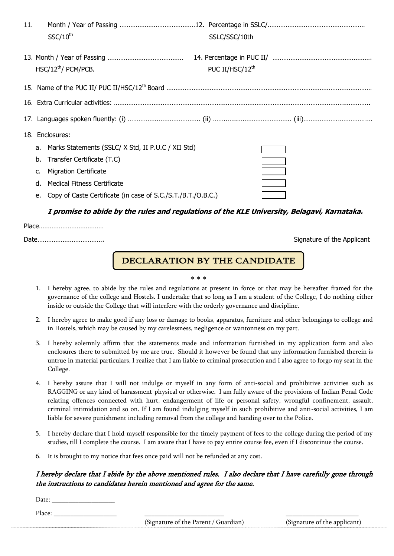| 11. |                 | SSC/10 <sup>th</sup>                                         | SSLC/SSC/10th               |  |  |  |
|-----|-----------------|--------------------------------------------------------------|-----------------------------|--|--|--|
|     |                 | HSC/12 <sup>th</sup> / PCM/PCB.                              | PUC II/HSC/12 <sup>th</sup> |  |  |  |
|     |                 |                                                              |                             |  |  |  |
|     |                 |                                                              |                             |  |  |  |
|     |                 |                                                              |                             |  |  |  |
|     | 18. Enclosures: |                                                              |                             |  |  |  |
|     |                 | a. Marks Statements (SSLC/ X Std, II P.U.C / XII Std)        |                             |  |  |  |
|     | b.              | Transfer Certificate (T.C)                                   |                             |  |  |  |
|     |                 | <b>Migration Certificate</b>                                 |                             |  |  |  |
|     | d.              | Medical Fitness Certificate                                  |                             |  |  |  |
|     |                 | Copy of Caste Certificate (in case of S.C./S.T./B.T./O.B.C.) |                             |  |  |  |

## **I promise to abide by the rules and regulations of the KLE University, Belagavi, Karnataka.**

Signature of the Applicant

## $\overline{a}$ DECLARATION BY THE CANDIDATE

1. I hereby agree, to abide by the rules and regulations at present in force or that may be hereafter framed for the governance of the college and Hostels. I undertake that so long as I am a student of the College, I do nothing either inside or outside the College that will interfere with the orderly governance and discipline.

\* \* \*

- 2. I hereby agree to make good if any loss or damage to books, apparatus, furniture and other belongings to college and in Hostels, which may be caused by my carelessness, negligence or wantonness on my part.
- 3. I hereby solemnly affirm that the statements made and information furnished in my application form and also enclosures there to submitted by me are true. Should it however be found that any information furnished therein is untrue in material particulars, I realize that I am liable to criminal prosecution and I also agree to forgo my seat in the College.
- 4. I hereby assure that I will not indulge or myself in any form of anti-social and prohibitive activities such as RAGGING or any kind of harassment-physical or otherwise. I am fully aware of the provisions of Indian Penal Code relating offences connected with hurt, endangerment of life or personal safety, wrongful confinement, assault, criminal intimidation and so on. If I am found indulging myself in such prohibitive and anti-social activities, I am liable for severe punishment including removal from the college and handing over to the Police.
- 5. I hereby declare that I hold myself responsible for the timely payment of fees to the college during the period of my studies, till I complete the course. I am aware that I have to pay entire course fee, even if I discontinue the course.
- 6. It is brought to my notice that fees once paid will not be refunded at any cost.

## I hereby declare that I abide by the above mentioned rules. I also declare that I have carefully gone through the instructions to candidates herein mentioned and agree for the same.

Date:

(Signature of the Parent / Guardian) (Signature of the applicant)

Place: \_\_\_\_\_\_\_\_\_\_\_\_\_\_\_\_\_\_\_ \_\_\_\_\_\_\_\_\_\_\_\_\_\_\_\_\_\_\_\_\_\_\_\_ \_\_\_\_\_\_\_\_\_\_\_\_\_\_\_\_\_\_\_\_\_\_